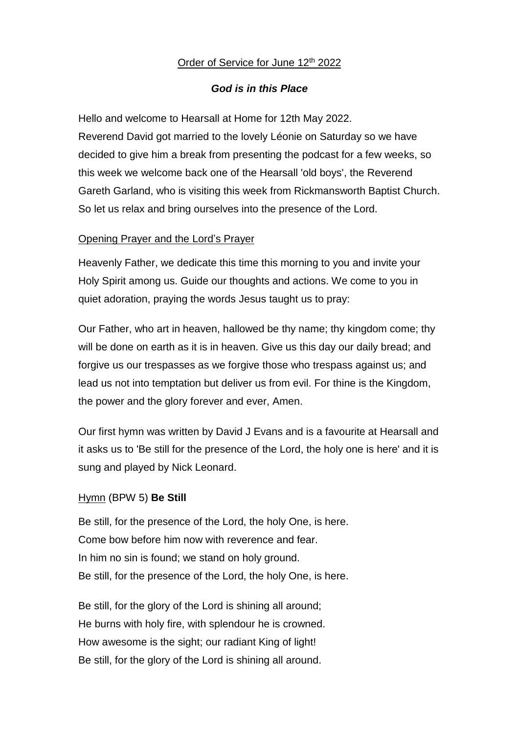## Order of Service for June 12<sup>th</sup> 2022

#### *God is in this Place*

Hello and welcome to Hearsall at Home for 12th May 2022. Reverend David got married to the lovely Léonie on Saturday so we have decided to give him a break from presenting the podcast for a few weeks, so this week we welcome back one of the Hearsall 'old boys', the Reverend Gareth Garland, who is visiting this week from Rickmansworth Baptist Church. So let us relax and bring ourselves into the presence of the Lord.

## Opening Prayer and the Lord's Prayer

Heavenly Father, we dedicate this time this morning to you and invite your Holy Spirit among us. Guide our thoughts and actions. We come to you in quiet adoration, praying the words Jesus taught us to pray:

Our Father, who art in heaven, hallowed be thy name; thy kingdom come; thy will be done on earth as it is in heaven. Give us this day our daily bread; and forgive us our trespasses as we forgive those who trespass against us; and lead us not into temptation but deliver us from evil. For thine is the Kingdom, the power and the glory forever and ever, Amen.

Our first hymn was written by David J Evans and is a favourite at Hearsall and it asks us to 'Be still for the presence of the Lord, the holy one is here' and it is sung and played by Nick Leonard.

#### Hymn (BPW 5) **Be Still**

Be still, for the [presence](https://www.definitions.net/definition/presence) of the Lord, the holy One, is here. Come bow [before](https://www.definitions.net/definition/before) him now with [reverence](https://www.definitions.net/definition/reverence) and fear. In him no sin is [found;](https://www.definitions.net/definition/found) we [stand](https://www.definitions.net/definition/stand) on holy ground. Be still, for the [presence](https://www.definitions.net/definition/presence) of the Lord, the holy One, is here.

Be still, for the [glory](https://www.definitions.net/definition/glory) of the Lord is [shining](https://www.definitions.net/definition/shining) all around; He [burns](https://www.definitions.net/definition/burns) with holy fire, with [splendour](https://www.definitions.net/definition/splendor) he is crowned. How [awesome](https://www.definitions.net/definition/awesome) is the [sight;](https://www.definitions.net/definition/sight) our [radiant](https://www.definitions.net/definition/radiant) King of light! Be still, for the [glory](https://www.definitions.net/definition/glory) of the Lord is [shining](https://www.definitions.net/definition/shining) all around.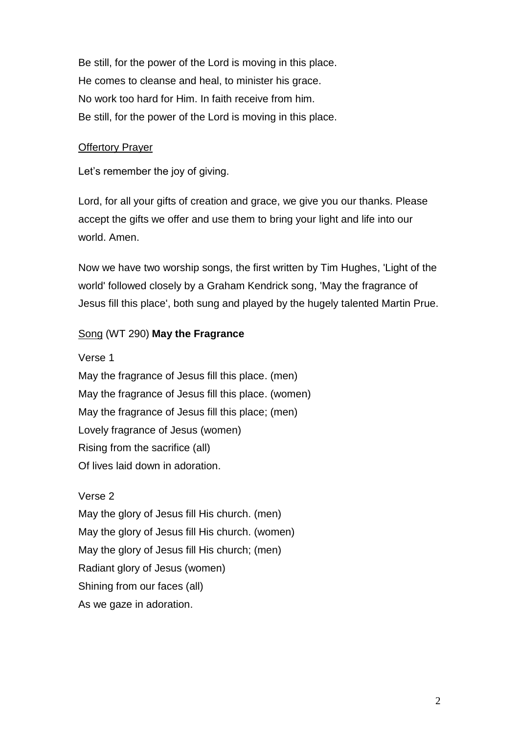Be still, for the [power](https://www.definitions.net/definition/power) of the Lord is [moving](https://www.definitions.net/definition/moving) in this place. He [comes](https://www.definitions.net/definition/comes) to [cleanse](https://www.definitions.net/definition/cleanse) and heal, to [minister](https://www.definitions.net/definition/minister) his [grace.](https://www.definitions.net/definition/grace) No work too hard for Him. In [faith](https://www.definitions.net/definition/faith) receive from him. Be still, for the [power](https://www.definitions.net/definition/power) of the Lord is [moving](https://www.definitions.net/definition/moving) in this place.

#### **Offertory Prayer**

Let's remember the joy of giving.

Lord, for all your gifts of creation and grace, we give you our thanks. Please accept the gifts we offer and use them to bring your light and life into our world. Amen.

Now we have two worship songs, the first written by Tim Hughes, 'Light of the world' followed closely by a Graham Kendrick song, 'May the fragrance of Jesus fill this place', both sung and played by the hugely talented Martin Prue.

#### Song (WT 290) **May the Fragrance**

Verse 1

May the fragrance of Jesus fill this place. (men) May the fragrance of Jesus fill this place. (women) May the fragrance of Jesus fill this place; (men) Lovely fragrance of Jesus (women) Rising from the sacrifice (all) Of lives laid down in adoration.

#### Verse 2

May the glory of Jesus fill His church. (men) May the glory of Jesus fill His church. (women) May the glory of Jesus fill His church; (men) Radiant glory of Jesus (women) Shining from our faces (all) As we gaze in adoration.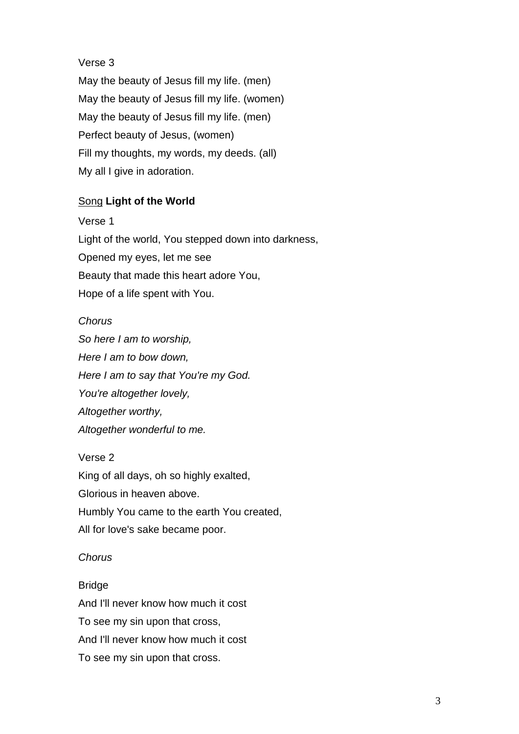## Verse 3

May the beauty of Jesus fill my life. (men) May the beauty of Jesus fill my life. (women) May the beauty of Jesus fill my life. (men) Perfect beauty of Jesus, (women) Fill my thoughts, my words, my deeds. (all) My all I give in adoration.

# Song **Light of the World**

Verse 1

Light of the world, You stepped down into darkness, Opened my eyes, let me see Beauty that made this heart adore You, Hope of a life spent with You.

## *Chorus*

*So here I am to worship, Here I am to bow down, Here I am to say that You're my God. You're altogether lovely, Altogether worthy, Altogether wonderful to me.*

Verse 2 King of all days, oh so highly exalted, Glorious in heaven above. Humbly You came to the earth You created, All for love's sake became poor.

# *Chorus*

#### Bridge

And I'll never know how much it cost To see my sin upon that cross, And I'll never know how much it cost To see my sin upon that cross.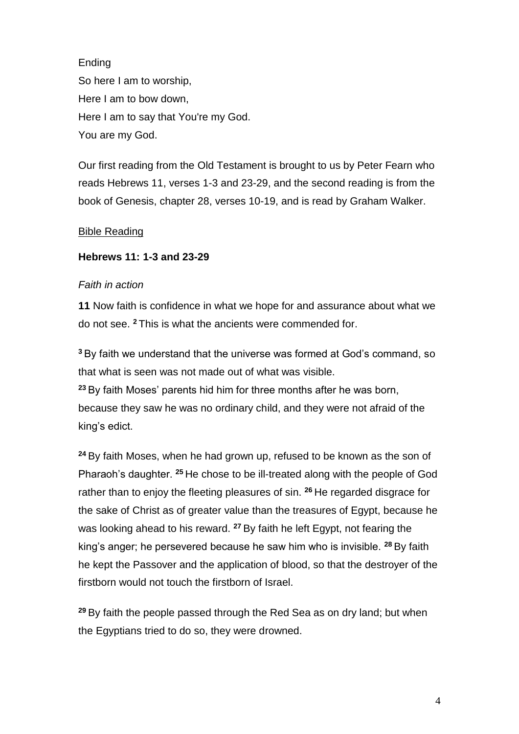Ending So here I am to worship, Here I am to bow down, Here I am to say that You're my God. You are my God.

Our first reading from the Old Testament is brought to us by Peter Fearn who reads Hebrews 11, verses 1-3 and 23-29, and the second reading is from the book of Genesis, chapter 28, verses 10-19, and is read by Graham Walker.

#### Bible Reading

#### **Hebrews 11: 1-3 and 23-29**

#### *Faith in action*

**11** Now faith is confidence in what we hope for and assurance about what we do not see. **<sup>2</sup>** This is what the ancients were commended for.

**<sup>3</sup>** By faith we understand that the universe was formed at God's command, so that what is seen was not made out of what was visible. **<sup>23</sup>** By faith Moses' parents hid him for three months after he was born, because they saw he was no ordinary child, and they were not afraid of the king's edict.

**<sup>24</sup>** By faith Moses, when he had grown up, refused to be known as the son of Pharaoh's daughter. **<sup>25</sup>** He chose to be ill-treated along with the people of God rather than to enjoy the fleeting pleasures of sin. **<sup>26</sup>** He regarded disgrace for the sake of Christ as of greater value than the treasures of Egypt, because he was looking ahead to his reward. **<sup>27</sup>** By faith he left Egypt, not fearing the king's anger; he persevered because he saw him who is invisible. **<sup>28</sup>** By faith he kept the Passover and the application of blood, so that the destroyer of the firstborn would not touch the firstborn of Israel.

**<sup>29</sup>** By faith the people passed through the Red Sea as on dry land; but when the Egyptians tried to do so, they were drowned.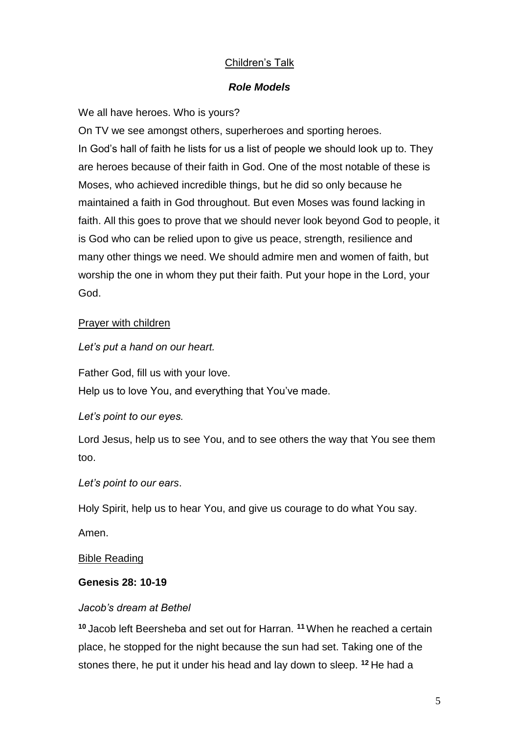# Children's Talk

## *Role Models*

We all have heroes. Who is yours?

On TV we see amongst others, superheroes and sporting heroes. In God's hall of faith he lists for us a list of people we should look up to. They are heroes because of their faith in God. One of the most notable of these is Moses, who achieved incredible things, but he did so only because he maintained a faith in God throughout. But even Moses was found lacking in faith. All this goes to prove that we should never look beyond God to people, it is God who can be relied upon to give us peace, strength, resilience and many other things we need. We should admire men and women of faith, but worship the one in whom they put their faith. Put your hope in the Lord, your God.

## Prayer with children

*Let's put a hand on our heart.*

Father God, fill us with your love. Help us to love You, and everything that You've made.

*Let's point to our eyes.*

Lord Jesus, help us to see You, and to see others the way that You see them too.

# *Let's point to our ears*.

Holy Spirit, help us to hear You, and give us courage to do what You say.

Amen.

Bible Reading

# **Genesis 28: 10-19**

#### *Jacob's dream at Bethel*

**<sup>10</sup>** Jacob left Beersheba and set out for Harran. **<sup>11</sup>** When he reached a certain place, he stopped for the night because the sun had set. Taking one of the stones there, he put it under his head and lay down to sleep. **<sup>12</sup>** He had a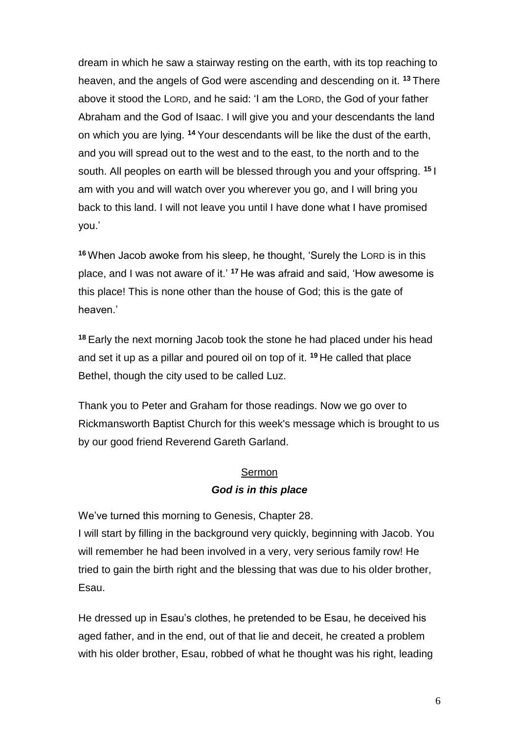dream in which he saw a stairway resting on the earth, with its top reaching to heaven, and the angels of God were ascending and descending on it. **<sup>13</sup>** There above it stood the LORD, and he said: 'I am the LORD, the God of your father Abraham and the God of Isaac. I will give you and your descendants the land on which you are lying. **<sup>14</sup>** Your descendants will be like the dust of the earth, and you will spread out to the west and to the east, to the north and to the south. All peoples on earth will be blessed through you and your offspring. **<sup>15</sup>** I am with you and will watch over you wherever you go, and I will bring you back to this land. I will not leave you until I have done what I have promised you.'

**<sup>16</sup>** When Jacob awoke from his sleep, he thought, 'Surely the LORD is in this place, and I was not aware of it.' **<sup>17</sup>** He was afraid and said, 'How awesome is this place! This is none other than the house of God; this is the gate of heaven.'

**<sup>18</sup>** Early the next morning Jacob took the stone he had placed under his head and set it up as a pillar and poured oil on top of it. **<sup>19</sup>** He called that place Bethel, though the city used to be called Luz.

Thank you to Peter and Graham for those readings. Now we go over to Rickmansworth Baptist Church for this week's message which is brought to us by our good friend Reverend Gareth Garland.

# Sermon *God is in this place*

We've turned this morning to Genesis, Chapter 28.

I will start by filling in the background very quickly, beginning with Jacob. You will remember he had been involved in a very, very serious family row! He tried to gain the birth right and the blessing that was due to his older brother, Esau.

He dressed up in Esau's clothes, he pretended to be Esau, he deceived his aged father, and in the end, out of that lie and deceit, he created a problem with his older brother, Esau, robbed of what he thought was his right, leading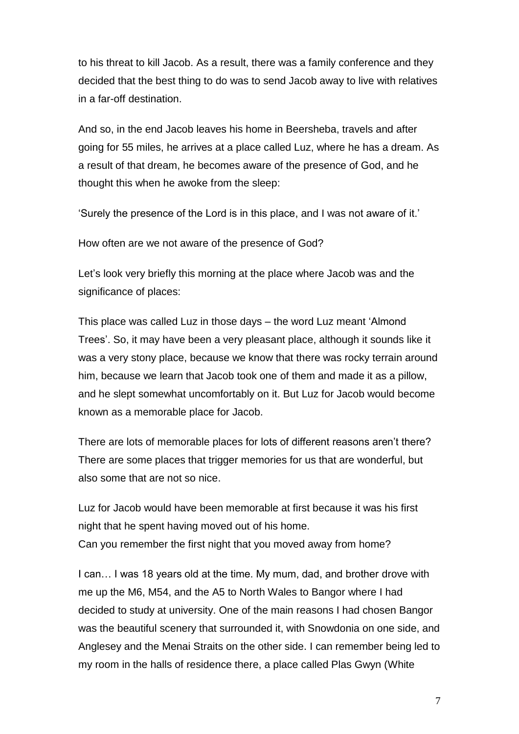to his threat to kill Jacob. As a result, there was a family conference and they decided that the best thing to do was to send Jacob away to live with relatives in a far-off destination.

And so, in the end Jacob leaves his home in Beersheba, travels and after going for 55 miles, he arrives at a place called Luz, where he has a dream. As a result of that dream, he becomes aware of the presence of God, and he thought this when he awoke from the sleep:

'Surely the presence of the Lord is in this place, and I was not aware of it.'

How often are we not aware of the presence of God?

Let's look very briefly this morning at the place where Jacob was and the significance of places:

This place was called Luz in those days – the word Luz meant 'Almond Trees'. So, it may have been a very pleasant place, although it sounds like it was a very stony place, because we know that there was rocky terrain around him, because we learn that Jacob took one of them and made it as a pillow, and he slept somewhat uncomfortably on it. But Luz for Jacob would become known as a memorable place for Jacob.

There are lots of memorable places for lots of different reasons aren't there? There are some places that trigger memories for us that are wonderful, but also some that are not so nice.

Luz for Jacob would have been memorable at first because it was his first night that he spent having moved out of his home. Can you remember the first night that you moved away from home?

I can… I was 18 years old at the time. My mum, dad, and brother drove with me up the M6, M54, and the A5 to North Wales to Bangor where I had decided to study at university. One of the main reasons I had chosen Bangor was the beautiful scenery that surrounded it, with Snowdonia on one side, and Anglesey and the Menai Straits on the other side. I can remember being led to my room in the halls of residence there, a place called Plas Gwyn (White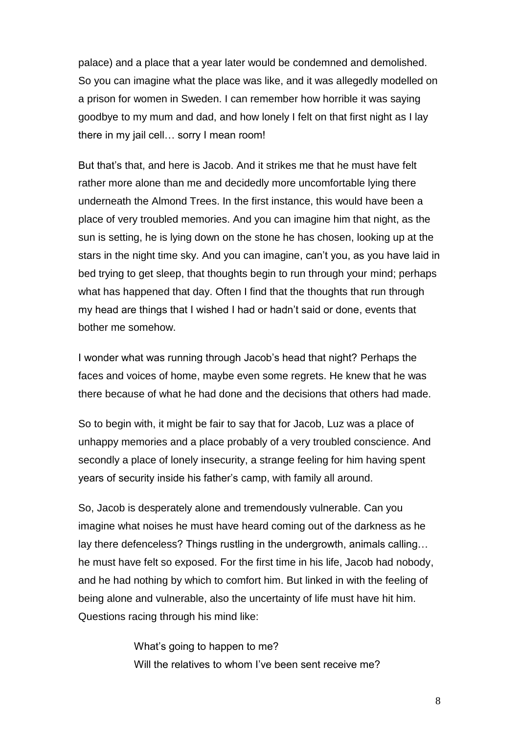palace) and a place that a year later would be condemned and demolished. So you can imagine what the place was like, and it was allegedly modelled on a prison for women in Sweden. I can remember how horrible it was saying goodbye to my mum and dad, and how lonely I felt on that first night as I lay there in my jail cell… sorry I mean room!

But that's that, and here is Jacob. And it strikes me that he must have felt rather more alone than me and decidedly more uncomfortable lying there underneath the Almond Trees. In the first instance, this would have been a place of very troubled memories. And you can imagine him that night, as the sun is setting, he is lying down on the stone he has chosen, looking up at the stars in the night time sky. And you can imagine, can't you, as you have laid in bed trying to get sleep, that thoughts begin to run through your mind; perhaps what has happened that day. Often I find that the thoughts that run through my head are things that I wished I had or hadn't said or done, events that bother me somehow.

I wonder what was running through Jacob's head that night? Perhaps the faces and voices of home, maybe even some regrets. He knew that he was there because of what he had done and the decisions that others had made.

So to begin with, it might be fair to say that for Jacob, Luz was a place of unhappy memories and a place probably of a very troubled conscience. And secondly a place of lonely insecurity, a strange feeling for him having spent years of security inside his father's camp, with family all around.

So, Jacob is desperately alone and tremendously vulnerable. Can you imagine what noises he must have heard coming out of the darkness as he lay there defenceless? Things rustling in the undergrowth, animals calling… he must have felt so exposed. For the first time in his life, Jacob had nobody, and he had nothing by which to comfort him. But linked in with the feeling of being alone and vulnerable, also the uncertainty of life must have hit him. Questions racing through his mind like:

> What's going to happen to me? Will the relatives to whom I've been sent receive me?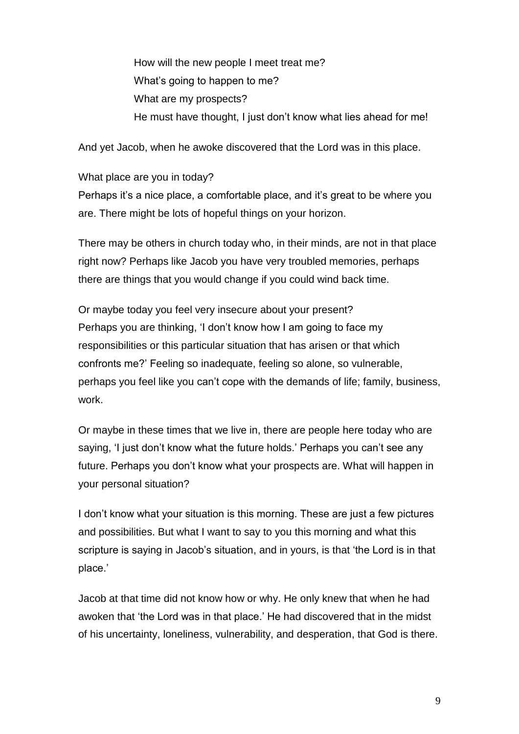How will the new people I meet treat me? What's going to happen to me? What are my prospects? He must have thought, I just don't know what lies ahead for me!

And yet Jacob, when he awoke discovered that the Lord was in this place.

What place are you in today?

Perhaps it's a nice place, a comfortable place, and it's great to be where you are. There might be lots of hopeful things on your horizon.

There may be others in church today who, in their minds, are not in that place right now? Perhaps like Jacob you have very troubled memories, perhaps there are things that you would change if you could wind back time.

Or maybe today you feel very insecure about your present? Perhaps you are thinking, 'I don't know how I am going to face my responsibilities or this particular situation that has arisen or that which confronts me?' Feeling so inadequate, feeling so alone, so vulnerable, perhaps you feel like you can't cope with the demands of life; family, business, work.

Or maybe in these times that we live in, there are people here today who are saying, 'I just don't know what the future holds.' Perhaps you can't see any future. Perhaps you don't know what your prospects are. What will happen in your personal situation?

I don't know what your situation is this morning. These are just a few pictures and possibilities. But what I want to say to you this morning and what this scripture is saying in Jacob's situation, and in yours, is that 'the Lord is in that place.'

Jacob at that time did not know how or why. He only knew that when he had awoken that 'the Lord was in that place.' He had discovered that in the midst of his uncertainty, loneliness, vulnerability, and desperation, that God is there.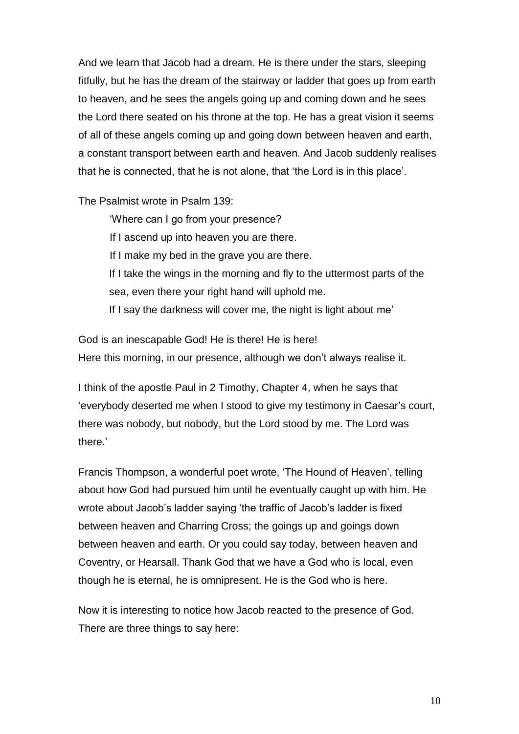And we learn that Jacob had a dream. He is there under the stars, sleeping fitfully, but he has the dream of the stairway or ladder that goes up from earth to heaven, and he sees the angels going up and coming down and he sees the Lord there seated on his throne at the top. He has a great vision it seems of all of these angels coming up and going down between heaven and earth, a constant transport between earth and heaven. And Jacob suddenly realises that he is connected, that he is not alone, that 'the Lord is in this place'.

The Psalmist wrote in Psalm 139:

'Where can I go from your presence?

If I ascend up into heaven you are there.

If I make my bed in the grave you are there.

If I take the wings in the morning and fly to the uttermost parts of the sea, even there your right hand will uphold me.

If I say the darkness will cover me, the night is light about me'

God is an inescapable God! He is there! He is here! Here this morning, in our presence, although we don't always realise it.

I think of the apostle Paul in 2 Timothy, Chapter 4, when he says that 'everybody deserted me when I stood to give my testimony in Caesar's court, there was nobody, but nobody, but the Lord stood by me. The Lord was there.'

Francis Thompson, a wonderful poet wrote, 'The Hound of Heaven', telling about how God had pursued him until he eventually caught up with him. He wrote about Jacob's ladder saying 'the traffic of Jacob's ladder is fixed between heaven and Charring Cross; the goings up and goings down between heaven and earth. Or you could say today, between heaven and Coventry, or Hearsall. Thank God that we have a God who is local, even though he is eternal, he is omnipresent. He is the God who is here.

Now it is interesting to notice how Jacob reacted to the presence of God. There are three things to say here: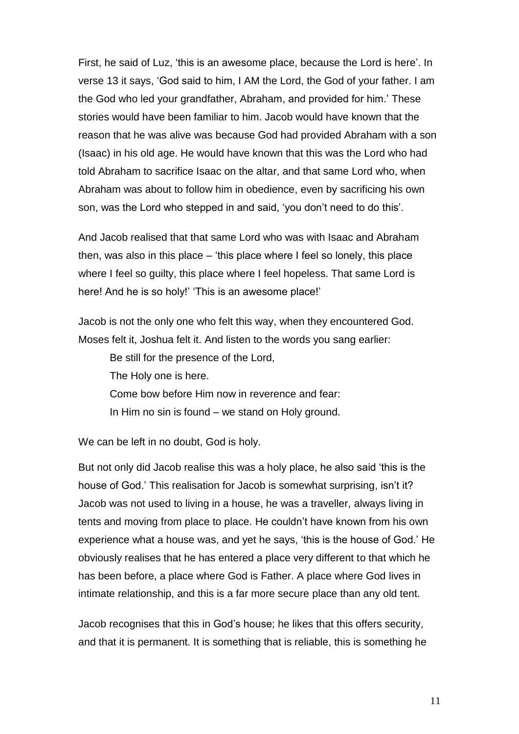First, he said of Luz, 'this is an awesome place, because the Lord is here'. In verse 13 it says, 'God said to him, I AM the Lord, the God of your father. I am the God who led your grandfather, Abraham, and provided for him.' These stories would have been familiar to him. Jacob would have known that the reason that he was alive was because God had provided Abraham with a son (Isaac) in his old age. He would have known that this was the Lord who had told Abraham to sacrifice Isaac on the altar, and that same Lord who, when Abraham was about to follow him in obedience, even by sacrificing his own son, was the Lord who stepped in and said, 'you don't need to do this'.

And Jacob realised that that same Lord who was with Isaac and Abraham then, was also in this place – 'this place where I feel so lonely, this place where I feel so guilty, this place where I feel hopeless. That same Lord is here! And he is so holy!' 'This is an awesome place!'

Jacob is not the only one who felt this way, when they encountered God. Moses felt it, Joshua felt it. And listen to the words you sang earlier:

Be still for the presence of the Lord,

The Holy one is here.

Come bow before Him now in reverence and fear:

In Him no sin is found – we stand on Holy ground.

We can be left in no doubt, God is holy.

But not only did Jacob realise this was a holy place, he also said 'this is the house of God.' This realisation for Jacob is somewhat surprising, isn't it? Jacob was not used to living in a house, he was a traveller, always living in tents and moving from place to place. He couldn't have known from his own experience what a house was, and yet he says, 'this is the house of God.' He obviously realises that he has entered a place very different to that which he has been before, a place where God is Father. A place where God lives in intimate relationship, and this is a far more secure place than any old tent.

Jacob recognises that this in God's house; he likes that this offers security, and that it is permanent. It is something that is reliable, this is something he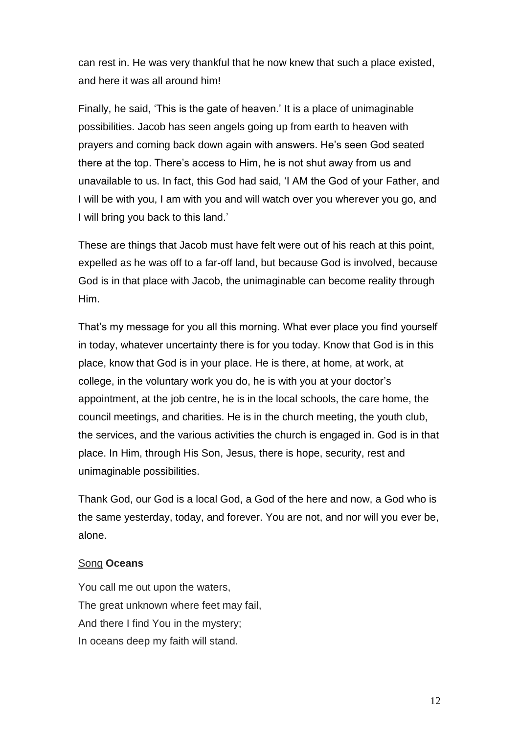can rest in. He was very thankful that he now knew that such a place existed, and here it was all around him!

Finally, he said, 'This is the gate of heaven.' It is a place of unimaginable possibilities. Jacob has seen angels going up from earth to heaven with prayers and coming back down again with answers. He's seen God seated there at the top. There's access to Him, he is not shut away from us and unavailable to us. In fact, this God had said, 'I AM the God of your Father, and I will be with you, I am with you and will watch over you wherever you go, and I will bring you back to this land.'

These are things that Jacob must have felt were out of his reach at this point, expelled as he was off to a far-off land, but because God is involved, because God is in that place with Jacob, the unimaginable can become reality through Him.

That's my message for you all this morning. What ever place you find yourself in today, whatever uncertainty there is for you today. Know that God is in this place, know that God is in your place. He is there, at home, at work, at college, in the voluntary work you do, he is with you at your doctor's appointment, at the job centre, he is in the local schools, the care home, the council meetings, and charities. He is in the church meeting, the youth club, the services, and the various activities the church is engaged in. God is in that place. In Him, through His Son, Jesus, there is hope, security, rest and unimaginable possibilities.

Thank God, our God is a local God, a God of the here and now, a God who is the same yesterday, today, and forever. You are not, and nor will you ever be, alone.

#### Song **Oceans**

You call me out upon the waters, The great unknown where feet may fail, And there I find You in the mystery; In oceans deep my faith will stand.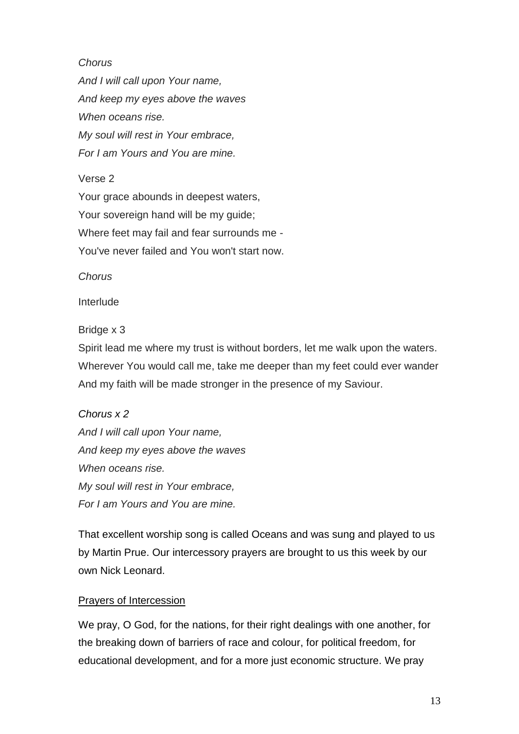# *Chorus*

*And I will call upon Your name, And keep my eyes above the waves When oceans rise. My soul will rest in Your embrace, For I am Yours and You are mine.*

# Verse 2

Your grace abounds in deepest waters, Your sovereign hand will be my guide; Where feet may fail and fear surrounds me - You've never failed and You won't start now.

*Chorus*

Interlude

# Bridge x 3

Spirit lead me where my trust is without borders, let me walk upon the waters. Wherever You would call me, take me deeper than my feet could ever wander And my faith will be made stronger in the presence of my Saviour.

# *Chorus x 2*

*And I will call upon Your name, And keep my eyes above the waves When oceans rise. My soul will rest in Your embrace, For I am Yours and You are mine.*

That excellent worship song is called Oceans and was sung and played to us by Martin Prue. Our intercessory prayers are brought to us this week by our own Nick Leonard.

# Prayers of Intercession

We pray, O God, for the nations, for their right dealings with one another, for the breaking down of barriers of race and colour, for political freedom, for educational development, and for a more just economic structure. We pray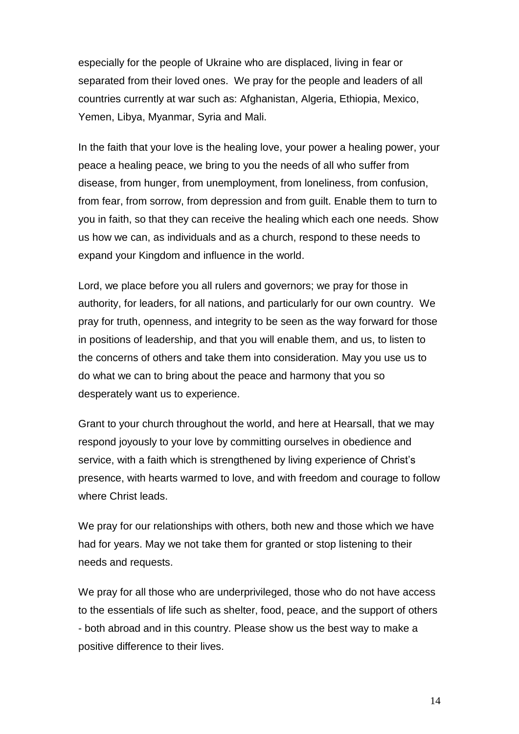especially for the people of Ukraine who are displaced, living in fear or separated from their loved ones. We pray for the people and leaders of all countries currently at war such as: Afghanistan, Algeria, Ethiopia, Mexico, Yemen, Libya, Myanmar, Syria and Mali.

In the faith that your love is the healing love, your power a healing power, your peace a healing peace, we bring to you the needs of all who suffer from disease, from hunger, from unemployment, from loneliness, from confusion, from fear, from sorrow, from depression and from guilt. Enable them to turn to you in faith, so that they can receive the healing which each one needs. Show us how we can, as individuals and as a church, respond to these needs to expand your Kingdom and influence in the world.

Lord, we place before you all rulers and governors; we pray for those in authority, for leaders, for all nations, and particularly for our own country. We pray for truth, openness, and integrity to be seen as the way forward for those in positions of leadership, and that you will enable them, and us, to listen to the concerns of others and take them into consideration. May you use us to do what we can to bring about the peace and harmony that you so desperately want us to experience.

Grant to your church throughout the world, and here at Hearsall, that we may respond joyously to your love by committing ourselves in obedience and service, with a faith which is strengthened by living experience of Christ's presence, with hearts warmed to love, and with freedom and courage to follow where Christ leads.

We pray for our relationships with others, both new and those which we have had for years. May we not take them for granted or stop listening to their needs and requests.

We pray for all those who are underprivileged, those who do not have access to the essentials of life such as shelter, food, peace, and the support of others - both abroad and in this country. Please show us the best way to make a positive difference to their lives.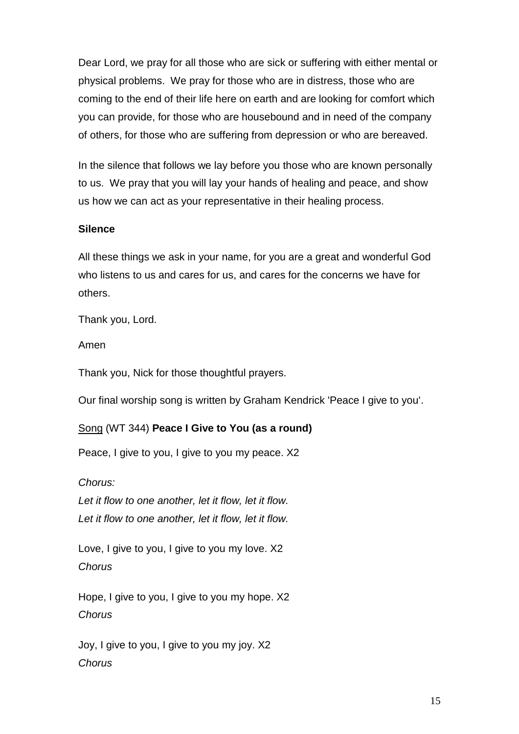Dear Lord, we pray for all those who are sick or suffering with either mental or physical problems. We pray for those who are in distress, those who are coming to the end of their life here on earth and are looking for comfort which you can provide, for those who are housebound and in need of the company of others, for those who are suffering from depression or who are bereaved.

In the silence that follows we lay before you those who are known personally to us. We pray that you will lay your hands of healing and peace, and show us how we can act as your representative in their healing process.

#### **Silence**

All these things we ask in your name, for you are a great and wonderful God who listens to us and cares for us, and cares for the concerns we have for others.

Thank you, Lord.

Amen

Thank you, Nick for those thoughtful prayers.

Our final worship song is written by Graham Kendrick 'Peace I give to you'.

# Song (WT 344) **Peace I Give to You (as a round)**

Peace, I give to you, I give to you my peace. X2

*Chorus: Let it flow to one another, let it flow, let it flow. Let it flow to one another, let it flow, let it flow.* 

Love, I give to you, I give to you my love. X2 *Chorus*

Hope, I give to you, I give to you my hope. X2 *Chorus*

Joy, I give to you, I give to you my joy. X2 *Chorus*